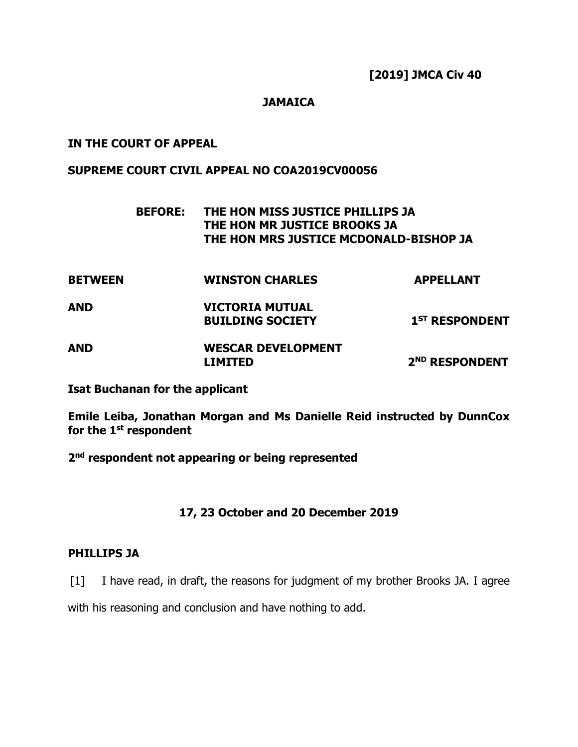**[2019] JMCA Civ 40**

## **JAMAICA**

# **IN THE COURT OF APPEAL**

## **SUPREME COURT CIVIL APPEAL NO COA2019CV00056**

| <b>BEFORE:</b> | THE HON MISS JUSTICE PHILLIPS JA       |
|----------------|----------------------------------------|
|                | THE HON MR JUSTICE BROOKS JA           |
|                | THE HON MRS JUSTICE MCDONALD-BISHOP JA |

| <b>BETWEEN</b> | <b>WINSTON CHARLES</b>    | <b>APPELLANT</b>           |
|----------------|---------------------------|----------------------------|
| <b>AND</b>     | <b>VICTORIA MUTUAL</b>    |                            |
|                | <b>BUILDING SOCIETY</b>   | 1 <sup>ST</sup> RESPONDENT |
| <b>AND</b>     | <b>WESCAR DEVELOPMENT</b> |                            |
|                | <b>LIMITED</b>            | 2 <sup>ND</sup> RESPONDENT |

**Isat Buchanan for the applicant**

**Emile Leiba, Jonathan Morgan and Ms Danielle Reid instructed by DunnCox for the 1 st respondent**

**2 nd respondent not appearing or being represented**

## **17, 23 October and 20 December 2019**

### **PHILLIPS JA**

[1] I have read, in draft, the reasons for judgment of my brother Brooks JA. I agree

with his reasoning and conclusion and have nothing to add.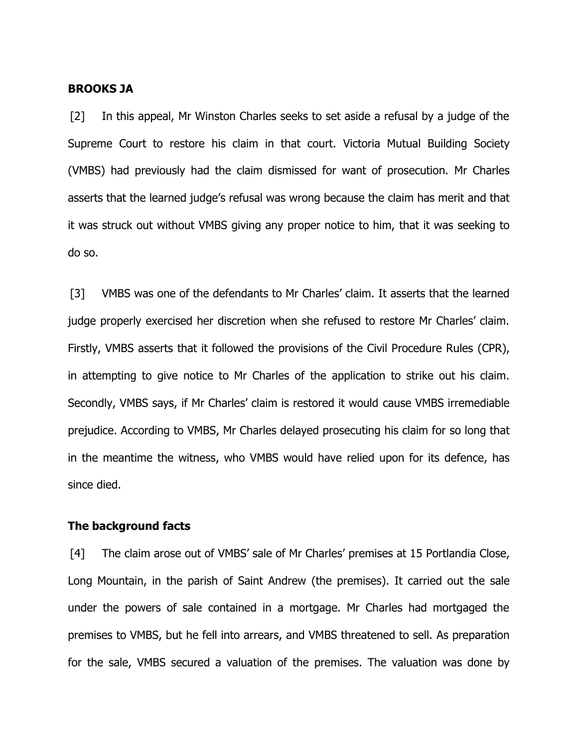#### **BROOKS JA**

[2] In this appeal, Mr Winston Charles seeks to set aside a refusal by a judge of the Supreme Court to restore his claim in that court. Victoria Mutual Building Society (VMBS) had previously had the claim dismissed for want of prosecution. Mr Charles asserts that the learned judge's refusal was wrong because the claim has merit and that it was struck out without VMBS giving any proper notice to him, that it was seeking to do so.

[3] VMBS was one of the defendants to Mr Charles' claim. It asserts that the learned judge properly exercised her discretion when she refused to restore Mr Charles' claim. Firstly, VMBS asserts that it followed the provisions of the Civil Procedure Rules (CPR), in attempting to give notice to Mr Charles of the application to strike out his claim. Secondly, VMBS says, if Mr Charles' claim is restored it would cause VMBS irremediable prejudice. According to VMBS, Mr Charles delayed prosecuting his claim for so long that in the meantime the witness, who VMBS would have relied upon for its defence, has since died.

## **The background facts**

[4] The claim arose out of VMBS' sale of Mr Charles' premises at 15 Portlandia Close, Long Mountain, in the parish of Saint Andrew (the premises). It carried out the sale under the powers of sale contained in a mortgage. Mr Charles had mortgaged the premises to VMBS, but he fell into arrears, and VMBS threatened to sell. As preparation for the sale, VMBS secured a valuation of the premises. The valuation was done by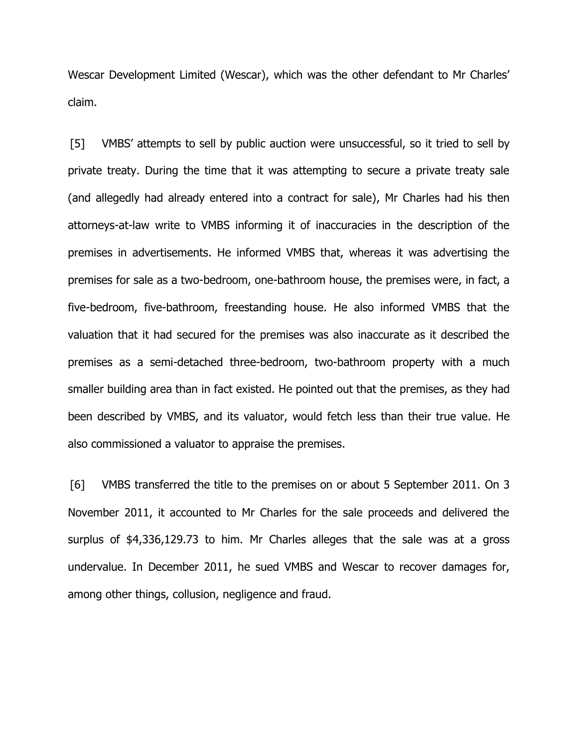Wescar Development Limited (Wescar), which was the other defendant to Mr Charles' claim.

[5] VMBS' attempts to sell by public auction were unsuccessful, so it tried to sell by private treaty. During the time that it was attempting to secure a private treaty sale (and allegedly had already entered into a contract for sale), Mr Charles had his then attorneys-at-law write to VMBS informing it of inaccuracies in the description of the premises in advertisements. He informed VMBS that, whereas it was advertising the premises for sale as a two-bedroom, one-bathroom house, the premises were, in fact, a five-bedroom, five-bathroom, freestanding house. He also informed VMBS that the valuation that it had secured for the premises was also inaccurate as it described the premises as a semi-detached three-bedroom, two-bathroom property with a much smaller building area than in fact existed. He pointed out that the premises, as they had been described by VMBS, and its valuator, would fetch less than their true value. He also commissioned a valuator to appraise the premises.

[6] VMBS transferred the title to the premises on or about 5 September 2011. On 3 November 2011, it accounted to Mr Charles for the sale proceeds and delivered the surplus of \$4,336,129.73 to him. Mr Charles alleges that the sale was at a gross undervalue. In December 2011, he sued VMBS and Wescar to recover damages for, among other things, collusion, negligence and fraud.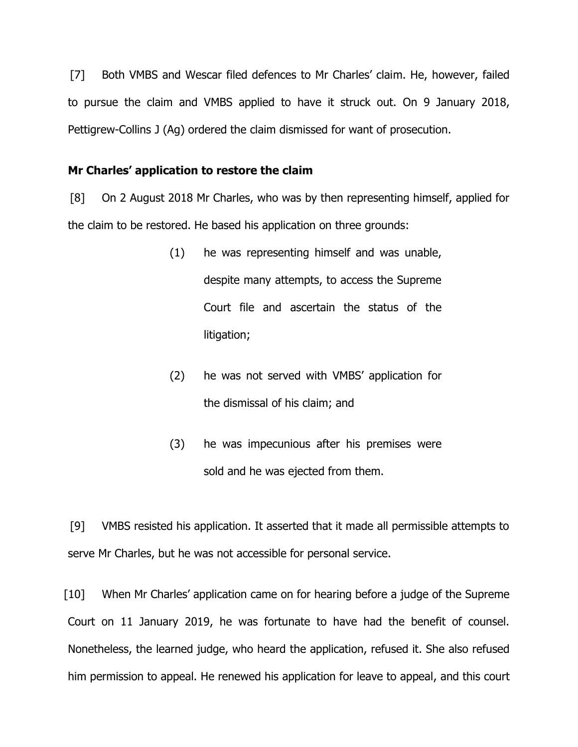[7] Both VMBS and Wescar filed defences to Mr Charles' claim. He, however, failed to pursue the claim and VMBS applied to have it struck out. On 9 January 2018, Pettigrew-Collins J (Ag) ordered the claim dismissed for want of prosecution.

#### **Mr Charles' application to restore the claim**

[8] On 2 August 2018 Mr Charles, who was by then representing himself, applied for the claim to be restored. He based his application on three grounds:

- (1) he was representing himself and was unable, despite many attempts, to access the Supreme Court file and ascertain the status of the litigation;
- (2) he was not served with VMBS' application for the dismissal of his claim; and
- (3) he was impecunious after his premises were sold and he was ejected from them.

[9] VMBS resisted his application. It asserted that it made all permissible attempts to serve Mr Charles, but he was not accessible for personal service.

[10] When Mr Charles' application came on for hearing before a judge of the Supreme Court on 11 January 2019, he was fortunate to have had the benefit of counsel. Nonetheless, the learned judge, who heard the application, refused it. She also refused him permission to appeal. He renewed his application for leave to appeal, and this court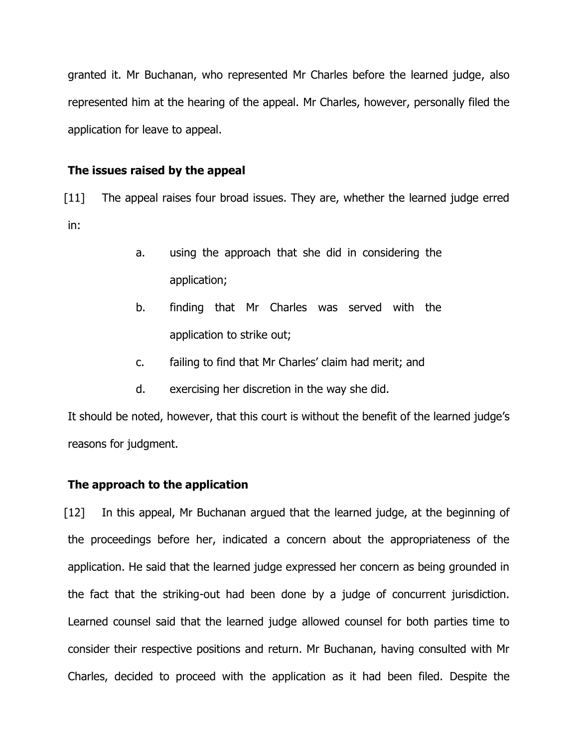granted it. Mr Buchanan, who represented Mr Charles before the learned judge, also represented him at the hearing of the appeal. Mr Charles, however, personally filed the application for leave to appeal.

## **The issues raised by the appeal**

[11] The appeal raises four broad issues. They are, whether the learned judge erred in:

- a. using the approach that she did in considering the application;
- b. finding that Mr Charles was served with the application to strike out;
- c. failing to find that Mr Charles' claim had merit; and
- d. exercising her discretion in the way she did.

It should be noted, however, that this court is without the benefit of the learned judge's reasons for judgment.

## **The approach to the application**

[12] In this appeal, Mr Buchanan argued that the learned judge, at the beginning of the proceedings before her, indicated a concern about the appropriateness of the application. He said that the learned judge expressed her concern as being grounded in the fact that the striking-out had been done by a judge of concurrent jurisdiction. Learned counsel said that the learned judge allowed counsel for both parties time to consider their respective positions and return. Mr Buchanan, having consulted with Mr Charles, decided to proceed with the application as it had been filed. Despite the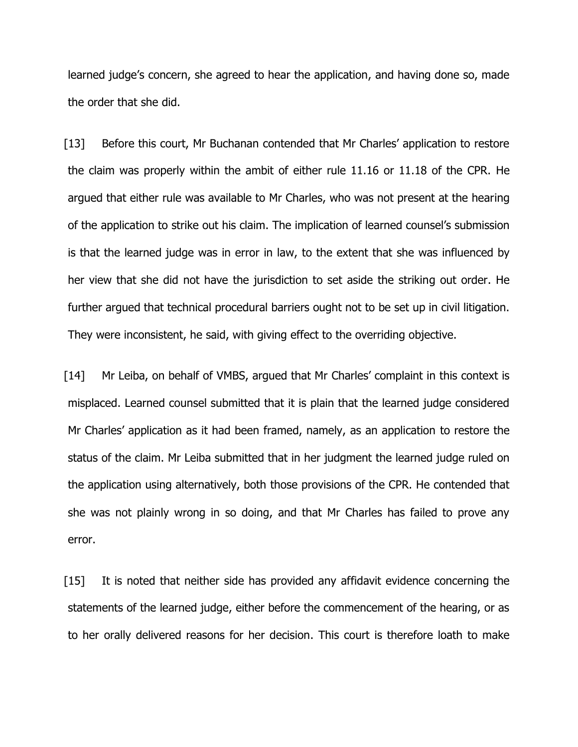learned judge's concern, she agreed to hear the application, and having done so, made the order that she did.

[13] Before this court, Mr Buchanan contended that Mr Charles' application to restore the claim was properly within the ambit of either rule 11.16 or 11.18 of the CPR. He argued that either rule was available to Mr Charles, who was not present at the hearing of the application to strike out his claim. The implication of learned counsel's submission is that the learned judge was in error in law, to the extent that she was influenced by her view that she did not have the jurisdiction to set aside the striking out order. He further argued that technical procedural barriers ought not to be set up in civil litigation. They were inconsistent, he said, with giving effect to the overriding objective.

[14] Mr Leiba, on behalf of VMBS, argued that Mr Charles' complaint in this context is misplaced. Learned counsel submitted that it is plain that the learned judge considered Mr Charles' application as it had been framed, namely, as an application to restore the status of the claim. Mr Leiba submitted that in her judgment the learned judge ruled on the application using alternatively, both those provisions of the CPR. He contended that she was not plainly wrong in so doing, and that Mr Charles has failed to prove any error.

[15] It is noted that neither side has provided any affidavit evidence concerning the statements of the learned judge, either before the commencement of the hearing, or as to her orally delivered reasons for her decision. This court is therefore loath to make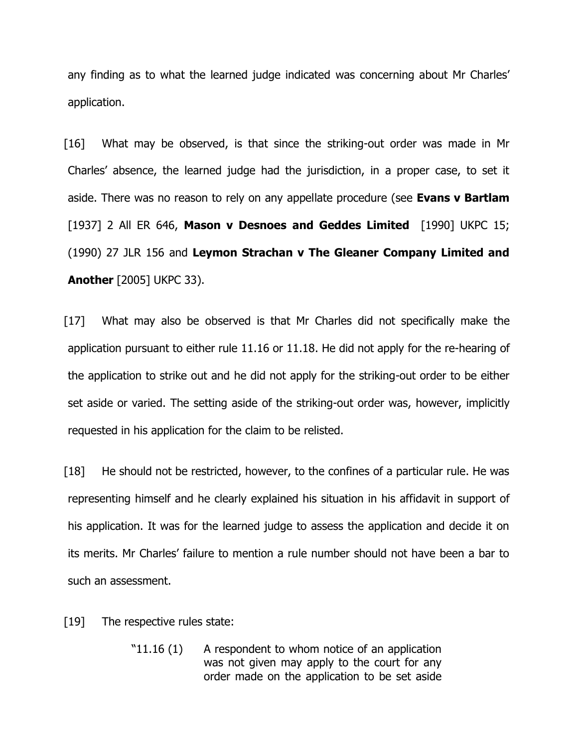any finding as to what the learned judge indicated was concerning about Mr Charles' application.

[16] What may be observed, is that since the striking-out order was made in Mr Charles' absence, the learned judge had the jurisdiction, in a proper case, to set it aside. There was no reason to rely on any appellate procedure (see **Evans v Bartlam** [1937] 2 All ER 646, **Mason v Desnoes and Geddes Limited** [1990] UKPC 15; (1990) 27 JLR 156 and **Leymon Strachan v The Gleaner Company Limited and Another** [2005] UKPC 33).

[17] What may also be observed is that Mr Charles did not specifically make the application pursuant to either rule 11.16 or 11.18. He did not apply for the re-hearing of the application to strike out and he did not apply for the striking-out order to be either set aside or varied. The setting aside of the striking-out order was, however, implicitly requested in his application for the claim to be relisted.

[18] He should not be restricted, however, to the confines of a particular rule. He was representing himself and he clearly explained his situation in his affidavit in support of his application. It was for the learned judge to assess the application and decide it on its merits. Mr Charles' failure to mention a rule number should not have been a bar to such an assessment.

[19] The respective rules state:

"11.16 (1) A respondent to whom notice of an application was not given may apply to the court for any order made on the application to be set aside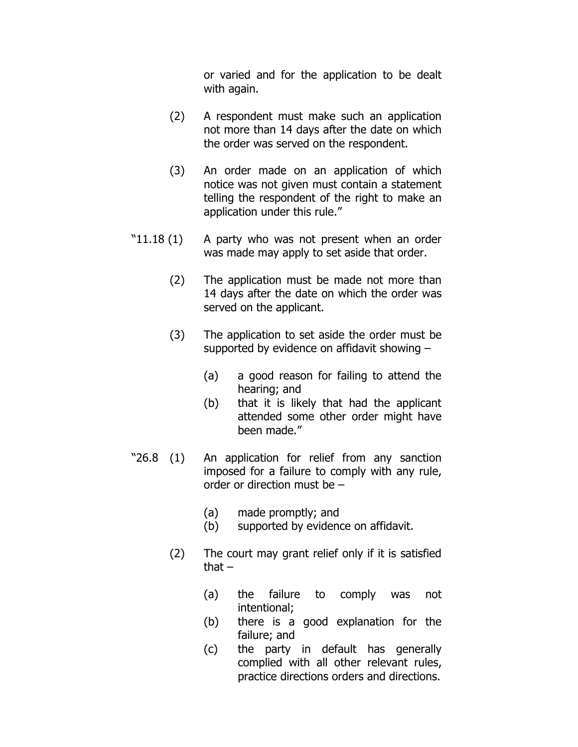or varied and for the application to be dealt with again.

- (2) A respondent must make such an application not more than 14 days after the date on which the order was served on the respondent.
- (3) An order made on an application of which notice was not given must contain a statement telling the respondent of the right to make an application under this rule."
- "11.18 (1) A party who was not present when an order was made may apply to set aside that order.
	- (2) The application must be made not more than 14 days after the date on which the order was served on the applicant.
	- (3) The application to set aside the order must be supported by evidence on affidavit showing –
		- (a) a good reason for failing to attend the hearing; and
		- (b) that it is likely that had the applicant attended some other order might have been made."
- "26.8 (1) An application for relief from any sanction imposed for a failure to comply with any rule, order or direction must be –
	- (a) made promptly; and
	- (b) supported by evidence on affidavit.
	- (2) The court may grant relief only if it is satisfied that –
		- (a) the failure to comply was not intentional;
		- (b) there is a good explanation for the failure; and
		- (c) the party in default has generally complied with all other relevant rules, practice directions orders and directions.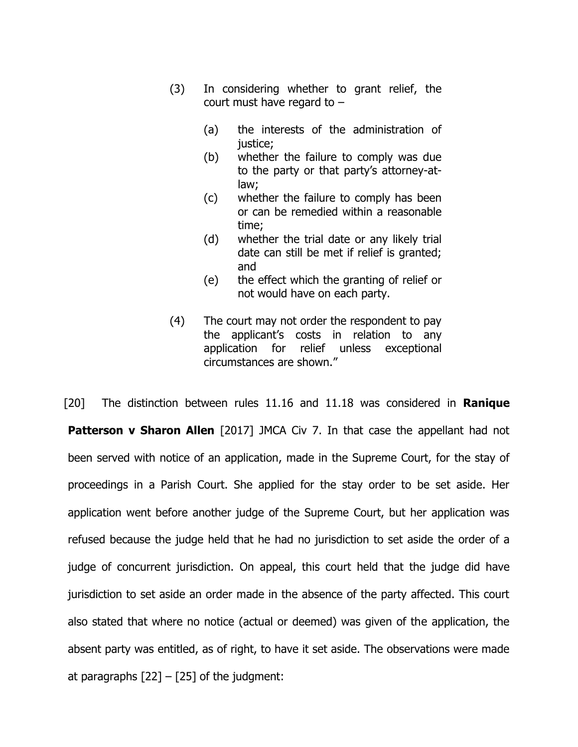- (3) In considering whether to grant relief, the court must have regard to –
	- (a) the interests of the administration of justice;
	- (b) whether the failure to comply was due to the party or that party's attorney-atlaw;
	- (c) whether the failure to comply has been or can be remedied within a reasonable time;
	- (d) whether the trial date or any likely trial date can still be met if relief is granted; and
	- (e) the effect which the granting of relief or not would have on each party.
- (4) The court may not order the respondent to pay the applicant's costs in relation to any application for relief unless exceptional circumstances are shown."

[20] The distinction between rules 11.16 and 11.18 was considered in **Ranique Patterson v Sharon Allen** [2017] JMCA Civ 7. In that case the appellant had not been served with notice of an application, made in the Supreme Court, for the stay of proceedings in a Parish Court. She applied for the stay order to be set aside. Her application went before another judge of the Supreme Court, but her application was refused because the judge held that he had no jurisdiction to set aside the order of a judge of concurrent jurisdiction. On appeal, this court held that the judge did have jurisdiction to set aside an order made in the absence of the party affected. This court also stated that where no notice (actual or deemed) was given of the application, the absent party was entitled, as of right, to have it set aside. The observations were made at paragraphs  $[22] - [25]$  of the judgment: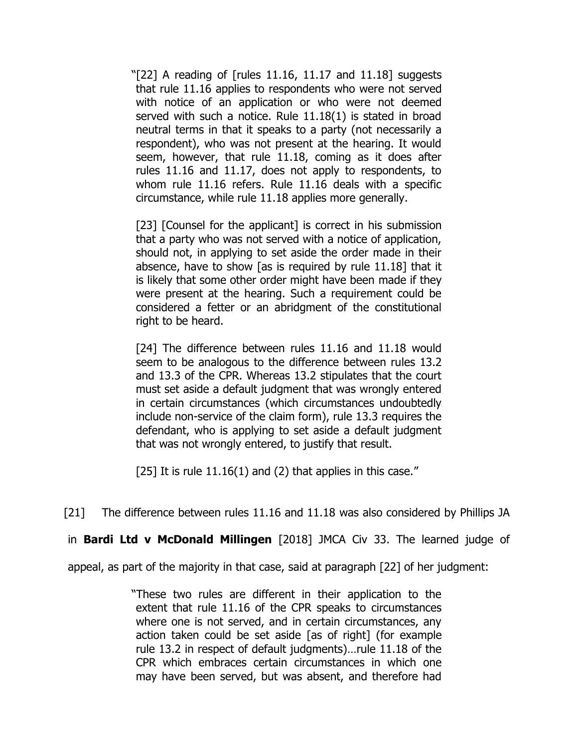"[22] A reading of [rules 11.16, 11.17 and 11.18] suggests that rule 11.16 applies to respondents who were not served with notice of an application or who were not deemed served with such a notice. Rule 11.18(1) is stated in broad neutral terms in that it speaks to a party (not necessarily a respondent), who was not present at the hearing. It would seem, however, that rule 11.18, coming as it does after rules 11.16 and 11.17, does not apply to respondents, to whom rule 11.16 refers. Rule 11.16 deals with a specific circumstance, while rule 11.18 applies more generally.

[23] [Counsel for the applicant] is correct in his submission that a party who was not served with a notice of application, should not, in applying to set aside the order made in their absence, have to show [as is required by rule 11.18] that it is likely that some other order might have been made if they were present at the hearing. Such a requirement could be considered a fetter or an abridgment of the constitutional right to be heard.

[24] The difference between rules 11.16 and 11.18 would seem to be analogous to the difference between rules 13.2 and 13.3 of the CPR. Whereas 13.2 stipulates that the court must set aside a default judgment that was wrongly entered in certain circumstances (which circumstances undoubtedly include non-service of the claim form), rule 13.3 requires the defendant, who is applying to set aside a default judgment that was not wrongly entered, to justify that result.

 $[25]$  It is rule 11.16(1) and (2) that applies in this case."

[21] The difference between rules 11.16 and 11.18 was also considered by Phillips JA

in **Bardi Ltd v McDonald Millingen** [2018] JMCA Civ 33. The learned judge of

appeal, as part of the majority in that case, said at paragraph [22] of her judgment:

"These two rules are different in their application to the extent that rule 11.16 of the CPR speaks to circumstances where one is not served, and in certain circumstances, any action taken could be set aside [as of right] (for example rule 13.2 in respect of default judgments)…rule 11.18 of the CPR which embraces certain circumstances in which one may have been served, but was absent, and therefore had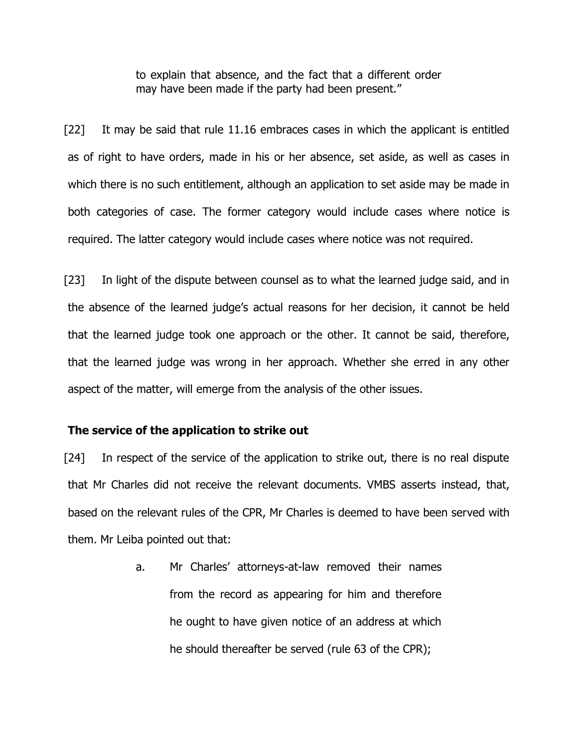to explain that absence, and the fact that a different order may have been made if the party had been present."

[22] It may be said that rule 11.16 embraces cases in which the applicant is entitled as of right to have orders, made in his or her absence, set aside, as well as cases in which there is no such entitlement, although an application to set aside may be made in both categories of case. The former category would include cases where notice is required. The latter category would include cases where notice was not required.

[23] In light of the dispute between counsel as to what the learned judge said, and in the absence of the learned judge's actual reasons for her decision, it cannot be held that the learned judge took one approach or the other. It cannot be said, therefore, that the learned judge was wrong in her approach. Whether she erred in any other aspect of the matter, will emerge from the analysis of the other issues.

## **The service of the application to strike out**

[24] In respect of the service of the application to strike out, there is no real dispute that Mr Charles did not receive the relevant documents. VMBS asserts instead, that, based on the relevant rules of the CPR, Mr Charles is deemed to have been served with them. Mr Leiba pointed out that:

> a. Mr Charles' attorneys-at-law removed their names from the record as appearing for him and therefore he ought to have given notice of an address at which he should thereafter be served (rule 63 of the CPR);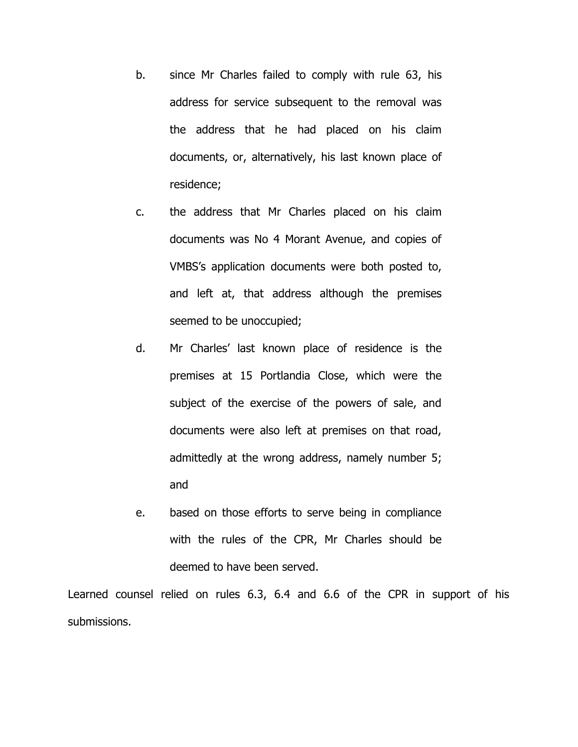- b. since Mr Charles failed to comply with rule 63, his address for service subsequent to the removal was the address that he had placed on his claim documents, or, alternatively, his last known place of residence;
- c. the address that Mr Charles placed on his claim documents was No 4 Morant Avenue, and copies of VMBS's application documents were both posted to, and left at, that address although the premises seemed to be unoccupied;
- d. Mr Charles' last known place of residence is the premises at 15 Portlandia Close, which were the subject of the exercise of the powers of sale, and documents were also left at premises on that road, admittedly at the wrong address, namely number 5; and
- e. based on those efforts to serve being in compliance with the rules of the CPR, Mr Charles should be deemed to have been served.

Learned counsel relied on rules 6.3, 6.4 and 6.6 of the CPR in support of his submissions.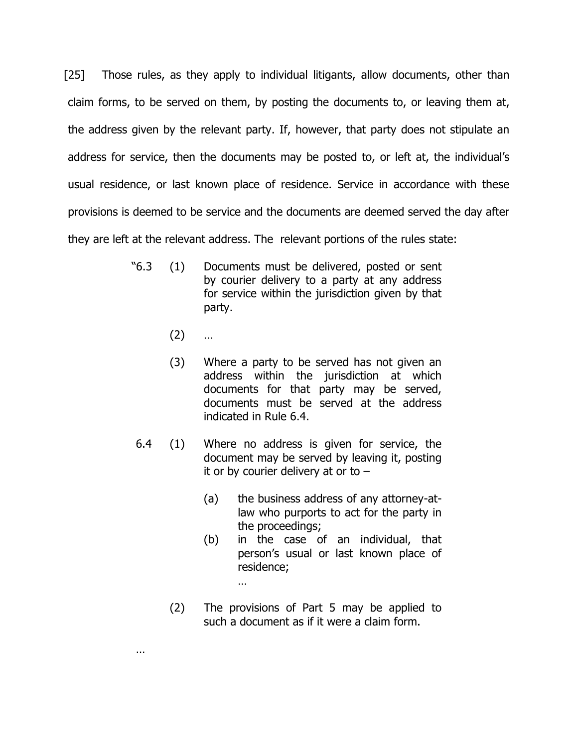[25] Those rules, as they apply to individual litigants, allow documents, other than claim forms, to be served on them, by posting the documents to, or leaving them at, the address given by the relevant party. If, however, that party does not stipulate an address for service, then the documents may be posted to, or left at, the individual's usual residence, or last known place of residence. Service in accordance with these provisions is deemed to be service and the documents are deemed served the day after they are left at the relevant address. The relevant portions of the rules state:

- "6.3 (1) Documents must be delivered, posted or sent by courier delivery to a party at any address for service within the jurisdiction given by that party.
	- $(2)$  ...

…

- (3) Where a party to be served has not given an address within the jurisdiction at which documents for that party may be served, documents must be served at the address indicated in Rule 6.4.
- 6.4 (1) Where no address is given for service, the document may be served by leaving it, posting it or by courier delivery at or to  $-$ 
	- (a) the business address of any attorney-atlaw who purports to act for the party in the proceedings;
	- (b) in the case of an individual, that person's usual or last known place of residence;
	- (2) The provisions of Part 5 may be applied to such a document as if it were a claim form.

…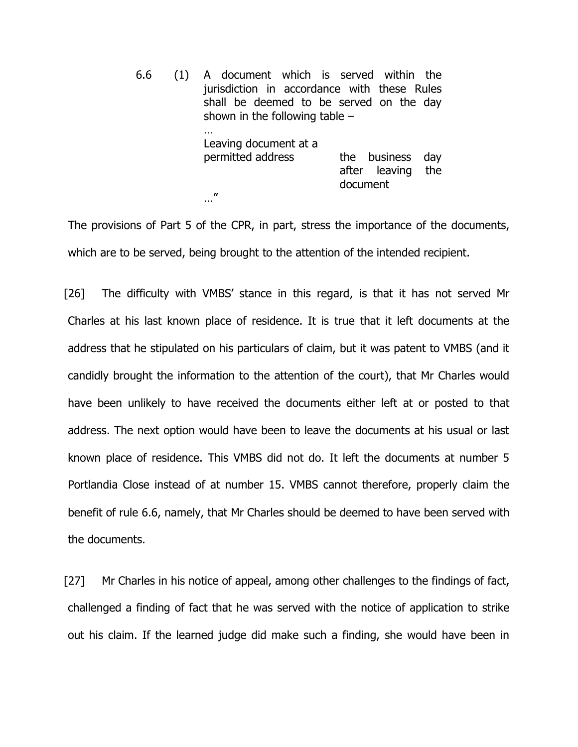| 6.6 | A document which is served within the<br>jurisdiction in accordance with these Rules<br>shall be deemed to be served on the day<br>shown in the following table $-$ |                                                      |
|-----|---------------------------------------------------------------------------------------------------------------------------------------------------------------------|------------------------------------------------------|
|     | <br>Leaving document at a<br>permitted address<br>$^{\prime}$                                                                                                       | the business<br>day<br>after leaving the<br>document |

The provisions of Part 5 of the CPR, in part, stress the importance of the documents, which are to be served, being brought to the attention of the intended recipient.

[26] The difficulty with VMBS' stance in this regard, is that it has not served Mr Charles at his last known place of residence. It is true that it left documents at the address that he stipulated on his particulars of claim, but it was patent to VMBS (and it candidly brought the information to the attention of the court), that Mr Charles would have been unlikely to have received the documents either left at or posted to that address. The next option would have been to leave the documents at his usual or last known place of residence. This VMBS did not do. It left the documents at number 5 Portlandia Close instead of at number 15. VMBS cannot therefore, properly claim the benefit of rule 6.6, namely, that Mr Charles should be deemed to have been served with the documents.

[27] Mr Charles in his notice of appeal, among other challenges to the findings of fact, challenged a finding of fact that he was served with the notice of application to strike out his claim. If the learned judge did make such a finding, she would have been in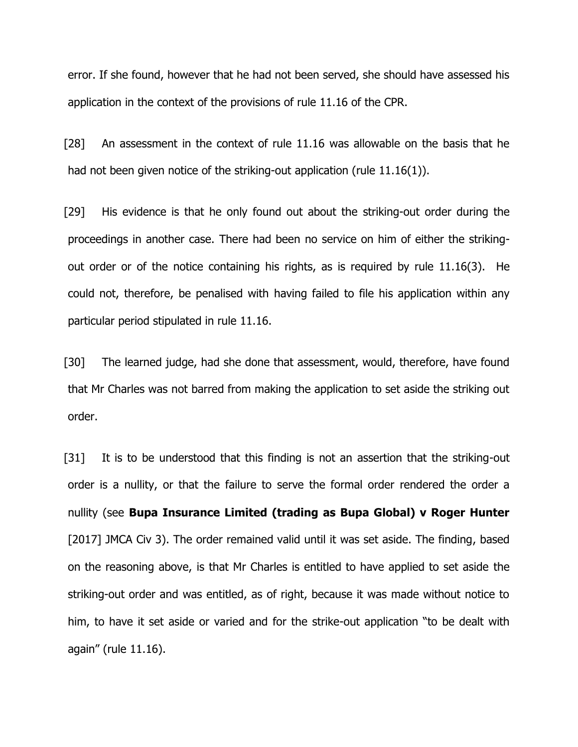error. If she found, however that he had not been served, she should have assessed his application in the context of the provisions of rule 11.16 of the CPR.

[28] An assessment in the context of rule 11.16 was allowable on the basis that he had not been given notice of the striking-out application (rule 11.16(1)).

[29] His evidence is that he only found out about the striking-out order during the proceedings in another case. There had been no service on him of either the strikingout order or of the notice containing his rights, as is required by rule 11.16(3). He could not, therefore, be penalised with having failed to file his application within any particular period stipulated in rule 11.16.

[30] The learned judge, had she done that assessment, would, therefore, have found that Mr Charles was not barred from making the application to set aside the striking out order.

[31] It is to be understood that this finding is not an assertion that the striking-out order is a nullity, or that the failure to serve the formal order rendered the order a nullity (see **Bupa Insurance Limited (trading as Bupa Global) v Roger Hunter** [2017] JMCA Civ 3). The order remained valid until it was set aside. The finding, based on the reasoning above, is that Mr Charles is entitled to have applied to set aside the striking-out order and was entitled, as of right, because it was made without notice to him, to have it set aside or varied and for the strike-out application "to be dealt with again" (rule 11.16).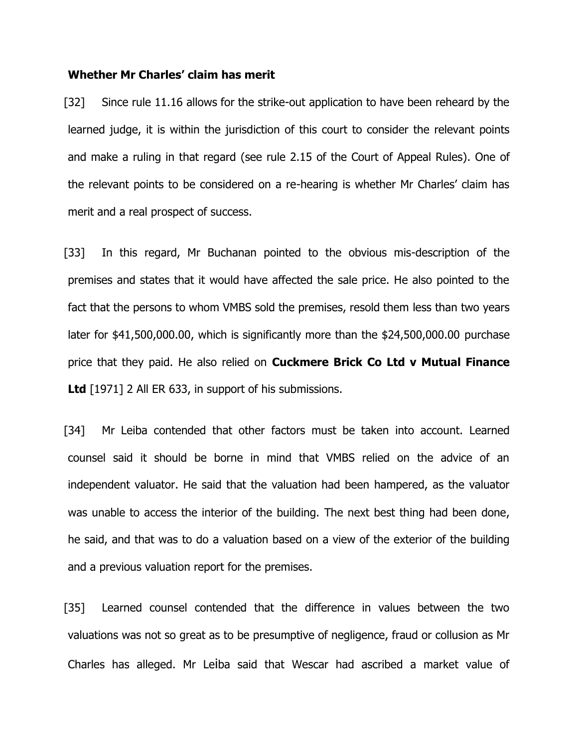#### **Whether Mr Charles' claim has merit**

[32] Since rule 11.16 allows for the strike-out application to have been reheard by the learned judge, it is within the jurisdiction of this court to consider the relevant points and make a ruling in that regard (see rule 2.15 of the Court of Appeal Rules). One of the relevant points to be considered on a re-hearing is whether Mr Charles' claim has merit and a real prospect of success.

[33] In this regard, Mr Buchanan pointed to the obvious mis-description of the premises and states that it would have affected the sale price. He also pointed to the fact that the persons to whom VMBS sold the premises, resold them less than two years later for \$41,500,000.00, which is significantly more than the \$24,500,000.00 purchase price that they paid. He also relied on **Cuckmere Brick Co Ltd v Mutual Finance Ltd** [1971] 2 All ER 633, in support of his submissions.

[34] Mr Leiba contended that other factors must be taken into account. Learned counsel said it should be borne in mind that VMBS relied on the advice of an independent valuator. He said that the valuation had been hampered, as the valuator was unable to access the interior of the building. The next best thing had been done, he said, and that was to do a valuation based on a view of the exterior of the building and a previous valuation report for the premises.

[35] Learned counsel contended that the difference in values between the two valuations was not so great as to be presumptive of negligence, fraud or collusion as Mr Charles has alleged. Mr Leiba said that Wescar had ascribed a market value of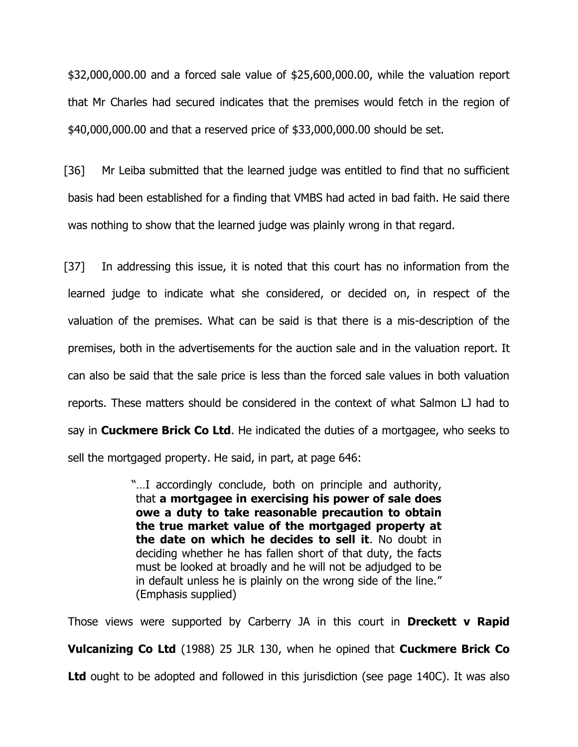\$32,000,000.00 and a forced sale value of \$25,600,000.00, while the valuation report that Mr Charles had secured indicates that the premises would fetch in the region of \$40,000,000.00 and that a reserved price of \$33,000,000.00 should be set.

[36] Mr Leiba submitted that the learned judge was entitled to find that no sufficient basis had been established for a finding that VMBS had acted in bad faith. He said there was nothing to show that the learned judge was plainly wrong in that regard.

[37] In addressing this issue, it is noted that this court has no information from the learned judge to indicate what she considered, or decided on, in respect of the valuation of the premises. What can be said is that there is a mis-description of the premises, both in the advertisements for the auction sale and in the valuation report. It can also be said that the sale price is less than the forced sale values in both valuation reports. These matters should be considered in the context of what Salmon LJ had to say in **Cuckmere Brick Co Ltd**. He indicated the duties of a mortgagee, who seeks to sell the mortgaged property. He said, in part, at page 646:

> "…I accordingly conclude, both on principle and authority, that **a mortgagee in exercising his power of sale does owe a duty to take reasonable precaution to obtain the true market value of the mortgaged property at the date on which he decides to sell it**. No doubt in deciding whether he has fallen short of that duty, the facts must be looked at broadly and he will not be adjudged to be in default unless he is plainly on the wrong side of the line." (Emphasis supplied)

Those views were supported by Carberry JA in this court in **Dreckett v Rapid Vulcanizing Co Ltd** (1988) 25 JLR 130, when he opined that **Cuckmere Brick Co** Ltd ought to be adopted and followed in this jurisdiction (see page 140C). It was also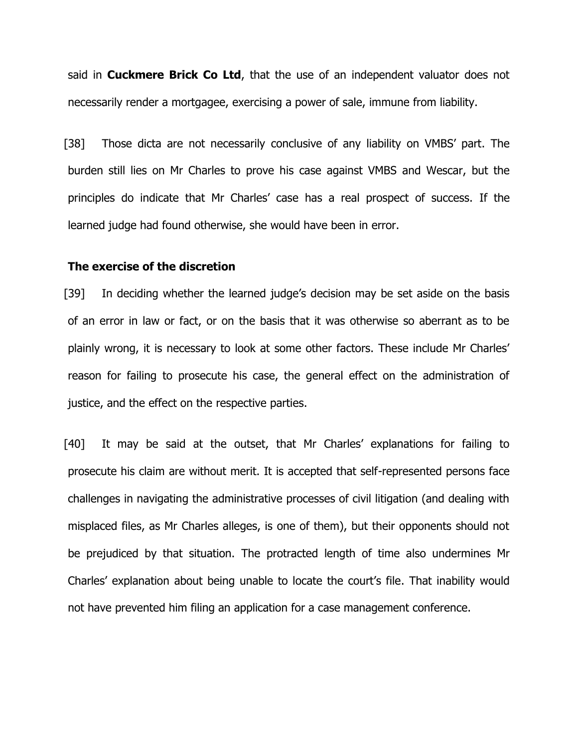said in **Cuckmere Brick Co Ltd**, that the use of an independent valuator does not necessarily render a mortgagee, exercising a power of sale, immune from liability.

[38] Those dicta are not necessarily conclusive of any liability on VMBS' part. The burden still lies on Mr Charles to prove his case against VMBS and Wescar, but the principles do indicate that Mr Charles' case has a real prospect of success. If the learned judge had found otherwise, she would have been in error.

#### **The exercise of the discretion**

[39] In deciding whether the learned judge's decision may be set aside on the basis of an error in law or fact, or on the basis that it was otherwise so aberrant as to be plainly wrong, it is necessary to look at some other factors. These include Mr Charles' reason for failing to prosecute his case, the general effect on the administration of justice, and the effect on the respective parties.

[40] It may be said at the outset, that Mr Charles' explanations for failing to prosecute his claim are without merit. It is accepted that self-represented persons face challenges in navigating the administrative processes of civil litigation (and dealing with misplaced files, as Mr Charles alleges, is one of them), but their opponents should not be prejudiced by that situation. The protracted length of time also undermines Mr Charles' explanation about being unable to locate the court's file. That inability would not have prevented him filing an application for a case management conference.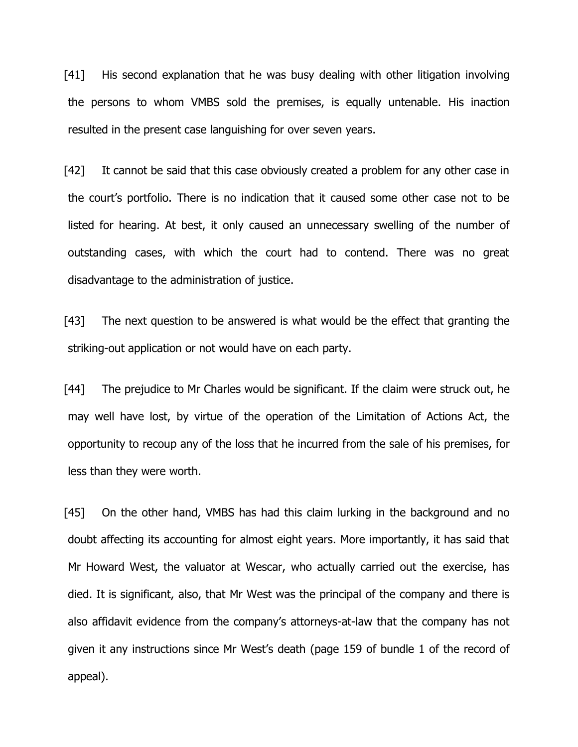[41] His second explanation that he was busy dealing with other litigation involving the persons to whom VMBS sold the premises, is equally untenable. His inaction resulted in the present case languishing for over seven years.

[42] It cannot be said that this case obviously created a problem for any other case in the court's portfolio. There is no indication that it caused some other case not to be listed for hearing. At best, it only caused an unnecessary swelling of the number of outstanding cases, with which the court had to contend. There was no great disadvantage to the administration of justice.

[43] The next question to be answered is what would be the effect that granting the striking-out application or not would have on each party.

[44] The prejudice to Mr Charles would be significant. If the claim were struck out, he may well have lost, by virtue of the operation of the Limitation of Actions Act, the opportunity to recoup any of the loss that he incurred from the sale of his premises, for less than they were worth.

[45] On the other hand, VMBS has had this claim lurking in the background and no doubt affecting its accounting for almost eight years. More importantly, it has said that Mr Howard West, the valuator at Wescar, who actually carried out the exercise, has died. It is significant, also, that Mr West was the principal of the company and there is also affidavit evidence from the company's attorneys-at-law that the company has not given it any instructions since Mr West's death (page 159 of bundle 1 of the record of appeal).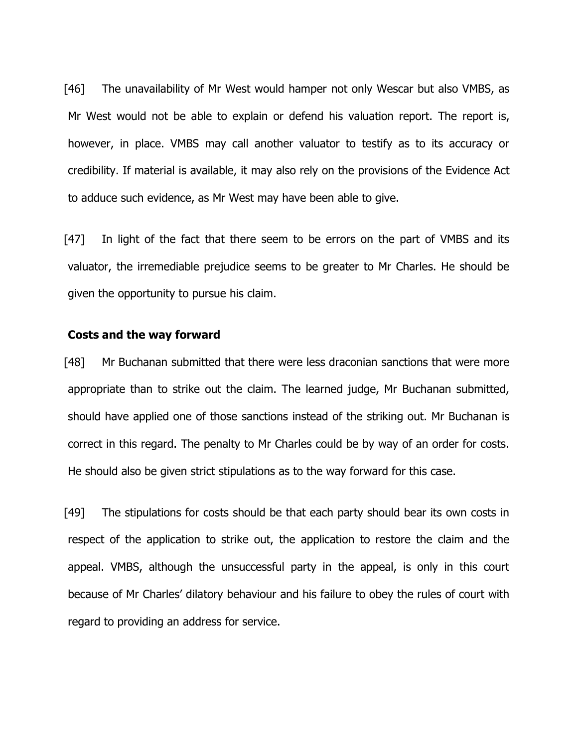[46] The unavailability of Mr West would hamper not only Wescar but also VMBS, as Mr West would not be able to explain or defend his valuation report. The report is, however, in place. VMBS may call another valuator to testify as to its accuracy or credibility. If material is available, it may also rely on the provisions of the Evidence Act to adduce such evidence, as Mr West may have been able to give.

[47] In light of the fact that there seem to be errors on the part of VMBS and its valuator, the irremediable prejudice seems to be greater to Mr Charles. He should be given the opportunity to pursue his claim.

#### **Costs and the way forward**

[48] Mr Buchanan submitted that there were less draconian sanctions that were more appropriate than to strike out the claim. The learned judge, Mr Buchanan submitted, should have applied one of those sanctions instead of the striking out. Mr Buchanan is correct in this regard. The penalty to Mr Charles could be by way of an order for costs. He should also be given strict stipulations as to the way forward for this case.

[49] The stipulations for costs should be that each party should bear its own costs in respect of the application to strike out, the application to restore the claim and the appeal. VMBS, although the unsuccessful party in the appeal, is only in this court because of Mr Charles' dilatory behaviour and his failure to obey the rules of court with regard to providing an address for service.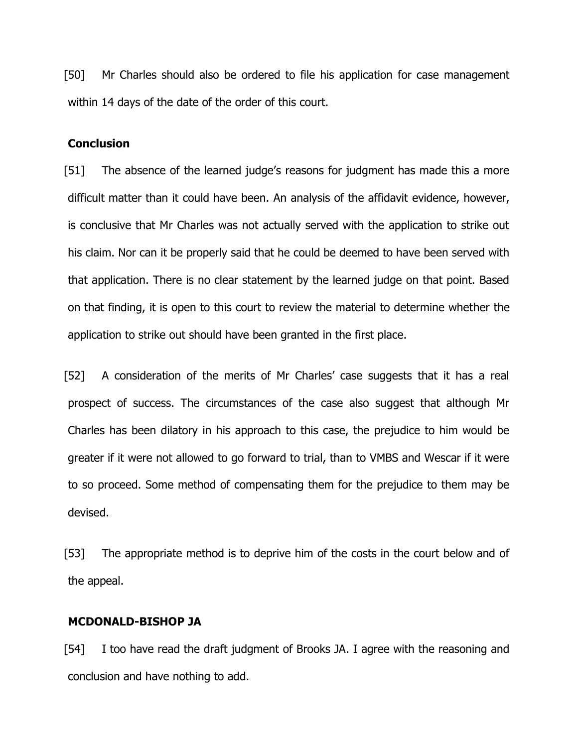[50] Mr Charles should also be ordered to file his application for case management within 14 days of the date of the order of this court.

### **Conclusion**

[51] The absence of the learned judge's reasons for judgment has made this a more difficult matter than it could have been. An analysis of the affidavit evidence, however, is conclusive that Mr Charles was not actually served with the application to strike out his claim. Nor can it be properly said that he could be deemed to have been served with that application. There is no clear statement by the learned judge on that point. Based on that finding, it is open to this court to review the material to determine whether the application to strike out should have been granted in the first place.

[52] A consideration of the merits of Mr Charles' case suggests that it has a real prospect of success. The circumstances of the case also suggest that although Mr Charles has been dilatory in his approach to this case, the prejudice to him would be greater if it were not allowed to go forward to trial, than to VMBS and Wescar if it were to so proceed. Some method of compensating them for the prejudice to them may be devised.

[53] The appropriate method is to deprive him of the costs in the court below and of the appeal.

## **MCDONALD-BISHOP JA**

[54] I too have read the draft judgment of Brooks JA. I agree with the reasoning and conclusion and have nothing to add.